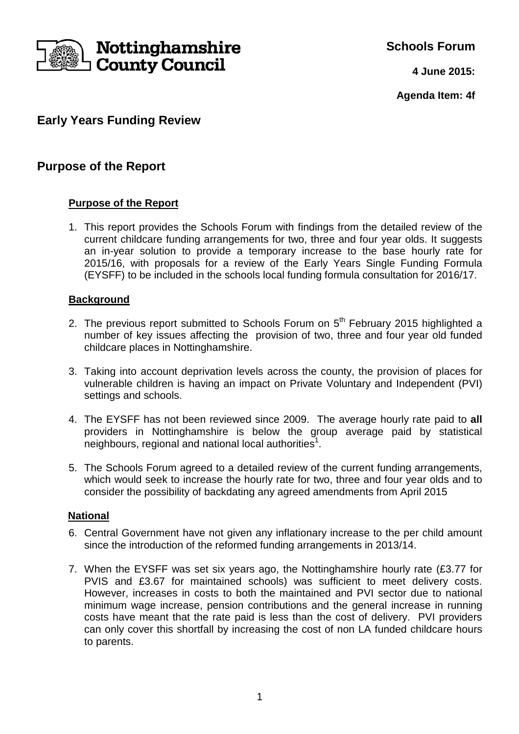

**Schools Forum**

**4 June 2015:**

**Agenda Item: 4f**

# **Early Years Funding Review**

## **Purpose of the Report**

## **Purpose of the Report**

1. This report provides the Schools Forum with findings from the detailed review of the current childcare funding arrangements for two, three and four year olds. It suggests an in-year solution to provide a temporary increase to the base hourly rate for 2015/16, with proposals for a review of the Early Years Single Funding Formula (EYSFF) to be included in the schools local funding formula consultation for 2016/17.

### **Background**

- 2. The previous report submitted to Schools Forum on 5<sup>th</sup> February 2015 highlighted a number of key issues affecting the provision of two, three and four year old funded childcare places in Nottinghamshire.
- 3. Taking into account deprivation levels across the county, the provision of places for vulnerable children is having an impact on Private Voluntary and Independent (PVI) settings and schools.
- 4. The EYSFF has not been reviewed since 2009. The average hourly rate paid to **all** providers in Nottinghamshire is below the group average paid by statistical neighbours, regional and national local authorities<sup>1</sup>.
- 5. The Schools Forum agreed to a detailed review of the current funding arrangements, which would seek to increase the hourly rate for two, three and four year olds and to consider the possibility of backdating any agreed amendments from April 2015

### **National**

- 6. Central Government have not given any inflationary increase to the per child amount since the introduction of the reformed funding arrangements in 2013/14.
- 7. When the EYSFF was set six years ago, the Nottinghamshire hourly rate (£3.77 for PVIS and £3.67 for maintained schools) was sufficient to meet delivery costs. However, increases in costs to both the maintained and PVI sector due to national minimum wage increase, pension contributions and the general increase in running costs have meant that the rate paid is less than the cost of delivery. PVI providers can only cover this shortfall by increasing the cost of non LA funded childcare hours to parents.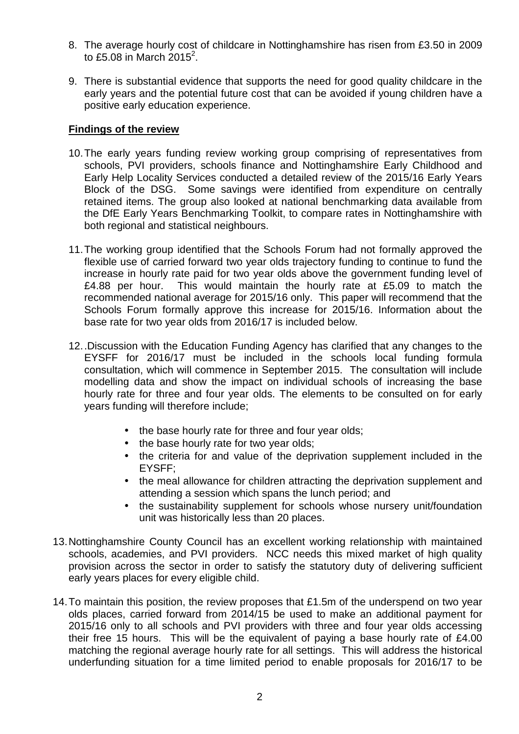- 8. The average hourly cost of childcare in Nottinghamshire has risen from £3.50 in 2009 to £5.08 in March  $2015^2$ .
- 9. There is substantial evidence that supports the need for good quality childcare in the early years and the potential future cost that can be avoided if young children have a positive early education experience.

#### **Findings of the review**

- 10. The early years funding review working group comprising of representatives from schools, PVI providers, schools finance and Nottinghamshire Early Childhood and Early Help Locality Services conducted a detailed review of the 2015/16 Early Years Block of the DSG. Some savings were identified from expenditure on centrally retained items. The group also looked at national benchmarking data available from the DfE Early Years Benchmarking Toolkit, to compare rates in Nottinghamshire with both regional and statistical neighbours.
- 11. The working group identified that the Schools Forum had not formally approved the flexible use of carried forward two year olds trajectory funding to continue to fund the increase in hourly rate paid for two year olds above the government funding level of £4.88 per hour. This would maintain the hourly rate at £5.09 to match the recommended national average for 2015/16 only. This paper will recommend that the Schools Forum formally approve this increase for 2015/16. Information about the base rate for two year olds from 2016/17 is included below.
- 12. .Discussion with the Education Funding Agency has clarified that any changes to the EYSFF for 2016/17 must be included in the schools local funding formula consultation, which will commence in September 2015. The consultation will include modelling data and show the impact on individual schools of increasing the base hourly rate for three and four year olds. The elements to be consulted on for early years funding will therefore include;
	- the base hourly rate for three and four year olds;
	- the base hourly rate for two year olds;
	- the criteria for and value of the deprivation supplement included in the EYSFF;
	- the meal allowance for children attracting the deprivation supplement and attending a session which spans the lunch period; and
	- the sustainability supplement for schools whose nursery unit/foundation unit was historically less than 20 places.
- 13. Nottinghamshire County Council has an excellent working relationship with maintained schools, academies, and PVI providers. NCC needs this mixed market of high quality provision across the sector in order to satisfy the statutory duty of delivering sufficient early years places for every eligible child.
- 14. To maintain this position, the review proposes that £1.5m of the underspend on two year olds places, carried forward from 2014/15 be used to make an additional payment for 2015/16 only to all schools and PVI providers with three and four year olds accessing their free 15 hours. This will be the equivalent of paying a base hourly rate of £4.00 matching the regional average hourly rate for all settings. This will address the historical underfunding situation for a time limited period to enable proposals for 2016/17 to be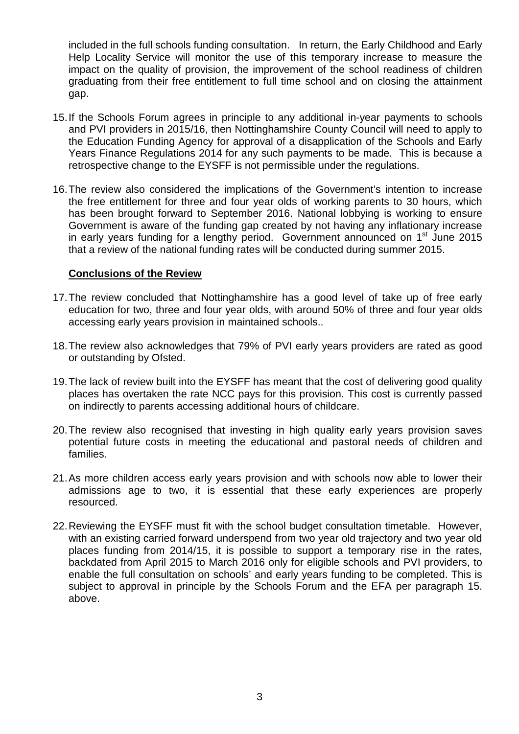included in the full schools funding consultation. In return, the Early Childhood and Early Help Locality Service will monitor the use of this temporary increase to measure the impact on the quality of provision, the improvement of the school readiness of children graduating from their free entitlement to full time school and on closing the attainment gap.

- 15. If the Schools Forum agrees in principle to any additional in-year payments to schools and PVI providers in 2015/16, then Nottinghamshire County Council will need to apply to the Education Funding Agency for approval of a disapplication of the Schools and Early Years Finance Regulations 2014 for any such payments to be made. This is because a retrospective change to the EYSFF is not permissible under the regulations.
- 16. The review also considered the implications of the Government's intention to increase the free entitlement for three and four year olds of working parents to 30 hours, which has been brought forward to September 2016. National lobbying is working to ensure Government is aware of the funding gap created by not having any inflationary increase in early years funding for a lengthy period. Government announced on  $1<sup>st</sup>$  June 2015 that a review of the national funding rates will be conducted during summer 2015.

#### **Conclusions of the Review**

- 17. The review concluded that Nottinghamshire has a good level of take up of free early education for two, three and four year olds, with around 50% of three and four year olds accessing early years provision in maintained schools..
- 18. The review also acknowledges that 79% of PVI early years providers are rated as good or outstanding by Ofsted.
- 19. The lack of review built into the EYSFF has meant that the cost of delivering good quality places has overtaken the rate NCC pays for this provision. This cost is currently passed on indirectly to parents accessing additional hours of childcare.
- 20. The review also recognised that investing in high quality early years provision saves potential future costs in meeting the educational and pastoral needs of children and families.
- 21. As more children access early years provision and with schools now able to lower their admissions age to two, it is essential that these early experiences are properly resourced.
- 22. Reviewing the EYSFF must fit with the school budget consultation timetable. However, with an existing carried forward underspend from two year old trajectory and two year old places funding from 2014/15, it is possible to support a temporary rise in the rates, backdated from April 2015 to March 2016 only for eligible schools and PVI providers, to enable the full consultation on schools' and early years funding to be completed. This is subiect to approval in principle by the Schools Forum and the EFA per paragraph 15. above.